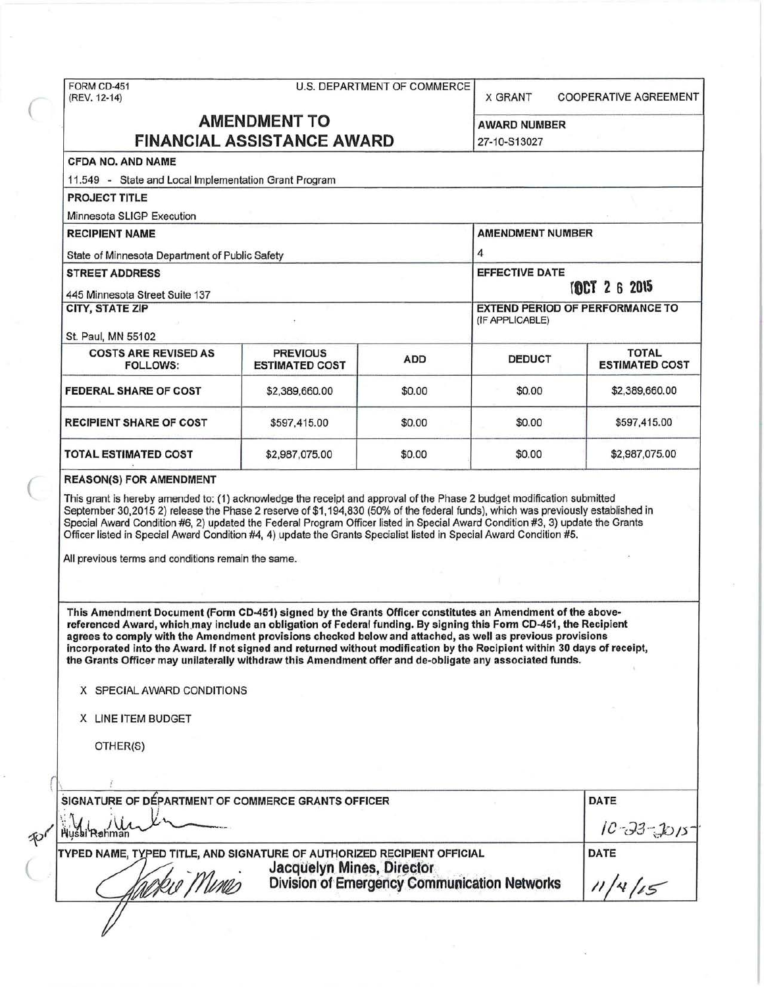FORM CD-451<br>(REV. 12-14)

| U.S. DEPARTMENT OF COMMERCE |  |
|-----------------------------|--|
|-----------------------------|--|

(REV. 12-14) **A BACALD BACKLY TO COOPERATIVE AGREEMENT** 

| <b>AMENDMENT TO</b>               |  |
|-----------------------------------|--|
| <b>FINANCIAL ASSISTANCE AWARD</b> |  |

**AWARD NUMBER** 27-10-S13027

# CFDA NO. AND NAME

11.549 - State and Local Implementation Grant Program

PROJECT TITLE

Minnesota SLIGP Execution

| <b>RECIPIENT NAME</b><br>State of Minnesota Department of Public Safety |                                          |            | <b>AMENDMENT NUMBER</b><br>4<br><b>EFFECTIVE DATE</b><br>TOCT 2 6 2015 |                                       |  |
|-------------------------------------------------------------------------|------------------------------------------|------------|------------------------------------------------------------------------|---------------------------------------|--|
|                                                                         |                                          |            |                                                                        |                                       |  |
| CITY, STATE ZIP<br>St. Paul, MN 55102                                   |                                          |            |                                                                        |                                       |  |
| <b>COSTS ARE REVISED AS</b><br><b>FOLLOWS:</b>                          | <b>PREVIOUS</b><br><b>ESTIMATED COST</b> | <b>ADD</b> | <b>DEDUCT</b>                                                          | <b>TOTAL</b><br><b>ESTIMATED COST</b> |  |
| FEDERAL SHARE OF COST                                                   | \$2,389,660.00                           | \$0.00     | \$0.00                                                                 | \$2,389,660.00                        |  |
| <b>RECIPIENT SHARE OF COST</b>                                          | \$597,415.00                             | \$0.00     | \$0.00                                                                 | \$597,415.00                          |  |
| <b>TOTAL ESTIMATED COST</b>                                             | \$2,987,075.00                           | \$0.00     | \$0.00                                                                 | \$2,987,075.00                        |  |

REASON(S) FOR AMENDMENT<br>This grant is hereby amended to: (1) acknowledge the receipt and approval of the Phase 2 budget modification submitted September 30,2015 2) release the Phase 2 reserve of \$1 ,194,830 (50% of the federal funds), which was previously established in Special Award Condition #6, 2) updated the Federal Program Officer listed in Special Award Condition #3, 3) update the Grants Officer listed in Special Award Condition #4, 4) update the Grants Specialist listed in Special Award Condition #5.

All previous terms and conditions remain the same.

This Amendment Document (Fonn CD-451) signed by the Grants Officer constitutes an Amendment of the abovereferenced Award, which may include an obligation of Federal funding. By signing this Form CD-451, the Recipient agrees to comply with the Amendment provisions checked below and attached, as well as previous provisions incorporated into the Award. If not signed and returned without modification by the Recipient within 30 days of receipt, the Grants Officer may unilaterally withdraw this Amendment offer and de-obligate any associated funds.

#### X SPECIAL AWARD CONDITIONS

X LINE ITEM BUDGET

OTHER(S)

| SIGNATURE OF DÉPARTMENT OF COMMERCE GRANTS OFFICER                                                                                                           | <b>DATE</b>      |
|--------------------------------------------------------------------------------------------------------------------------------------------------------------|------------------|
| Husai Rahma                                                                                                                                                  | $10 - 33 - 1015$ |
| TYPED NAME, TYPED TITLE, AND SIGNATURE OF AUTHORIZED RECIPIENT OFFICIAL<br>Jacquelyn Mines, Director<br>Division of Emergency Communication Networks<br>\ina | <b>DATE</b>      |